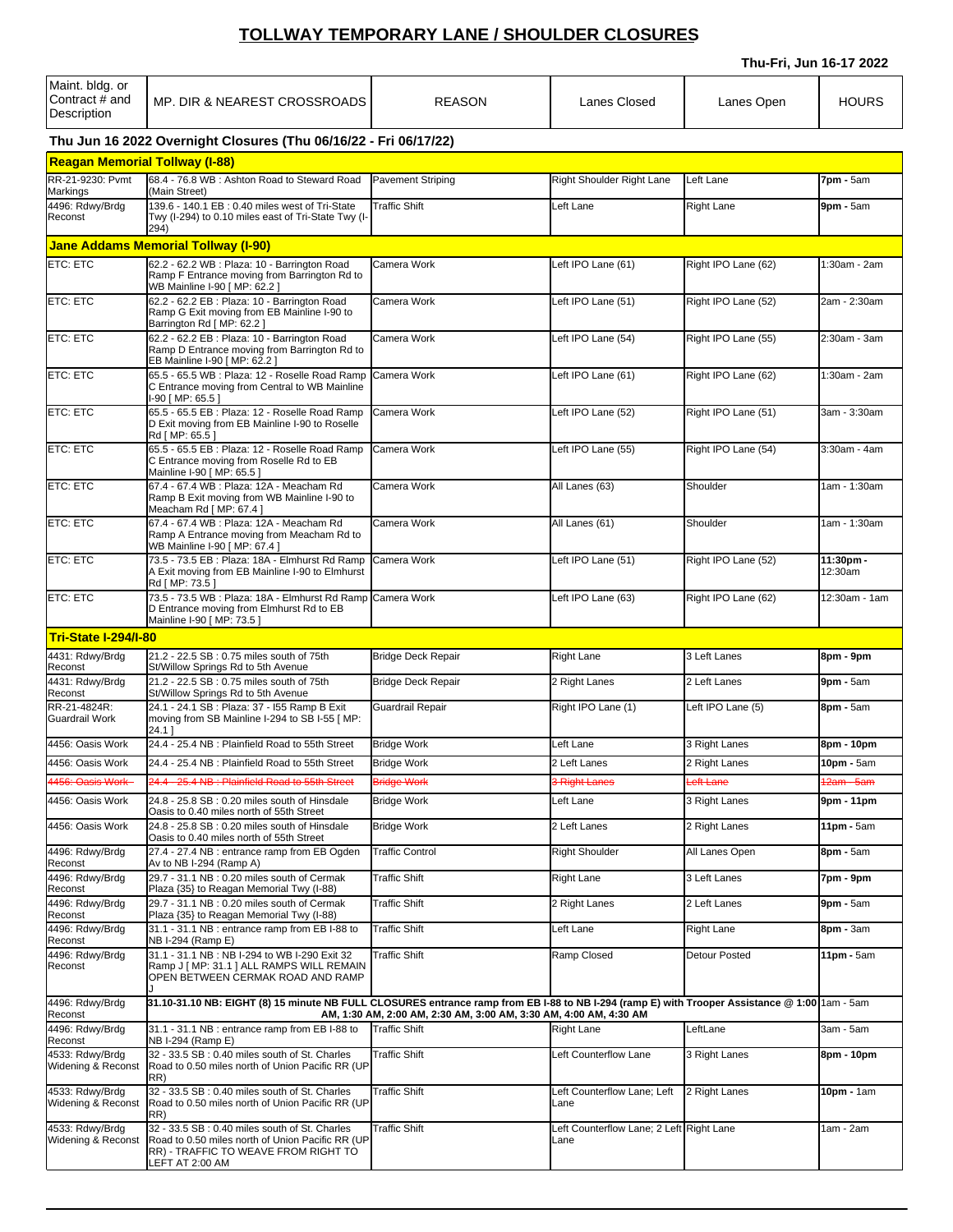## **TOLLWAY TEMPORARY LANE / SHOULDER CLOSURES**

**Thu-Fri, Jun 16-17 2022**

| Maint. bldg. or<br>Contract # and<br>Description                 | MP. DIR & NEAREST CROSSROADS                                                                                                                                                                                       | <b>REASON</b>             | Lanes Closed                                     | Lanes Open          | <b>HOURS</b>         |  |  |
|------------------------------------------------------------------|--------------------------------------------------------------------------------------------------------------------------------------------------------------------------------------------------------------------|---------------------------|--------------------------------------------------|---------------------|----------------------|--|--|
| Thu Jun 16 2022 Overnight Closures (Thu 06/16/22 - Fri 06/17/22) |                                                                                                                                                                                                                    |                           |                                                  |                     |                      |  |  |
| <b>Reagan Memorial Tollway (I-88)</b>                            |                                                                                                                                                                                                                    |                           |                                                  |                     |                      |  |  |
| RR-21-9230: Pvmt<br>Markings                                     | 68.4 - 76.8 WB: Ashton Road to Steward Road<br>(Main Street)                                                                                                                                                       | <b>Pavement Striping</b>  | Right Shoulder Right Lane                        | Left Lane           | 7pm - 5am            |  |  |
| 4496: Rdwy/Brdg<br>Reconst                                       | 139.6 - 140.1 EB : 0.40 miles west of Tri-State<br>Twy (I-294) to 0.10 miles east of Tri-State Twy (I-<br>294)                                                                                                     | <b>Traffic Shift</b>      | Left Lane                                        | <b>Right Lane</b>   | 9pm - 5am            |  |  |
|                                                                  | <b>Jane Addams Memorial Tollway (I-90)</b>                                                                                                                                                                         |                           |                                                  |                     |                      |  |  |
| <b>ETC: ETC</b>                                                  | 62.2 - 62.2 WB : Plaza: 10 - Barrington Road<br>Ramp F Entrance moving from Barrington Rd to<br>WB Mainline I-90 [ MP: 62.2 ]                                                                                      | Camera Work               | Left IPO Lane (61)                               | Right IPO Lane (62) | 1:30am - 2am         |  |  |
| <b>ETC: ETC</b>                                                  | 62.2 - 62.2 EB : Plaza: 10 - Barrington Road<br>Ramp G Exit moving from EB Mainline I-90 to<br>Barrington Rd [ MP: 62.2 ]                                                                                          | Camera Work               | Left IPO Lane (51)                               | Right IPO Lane (52) | 2am - 2:30am         |  |  |
| <b>ETC: ETC</b>                                                  | 62.2 - 62.2 EB : Plaza: 10 - Barrington Road<br>Ramp D Entrance moving from Barrington Rd to<br>EB Mainline I-90 [ MP: 62.2 ]                                                                                      | Camera Work               | Left IPO Lane (54)                               | Right IPO Lane (55) | 2:30am - 3am         |  |  |
| <b>ETC: ETC</b>                                                  | 65.5 - 65.5 WB : Plaza: 12 - Roselle Road Ramp<br>C Entrance moving from Central to WB Mainline<br>I-90 [ MP: 65.5 ]                                                                                               | Camera Work               | Left IPO Lane (61)                               | Right IPO Lane (62) | :30am - 2am          |  |  |
| <b>ETC: ETC</b>                                                  | 65.5 - 65.5 EB : Plaza: 12 - Roselle Road Ramp<br>D Exit moving from EB Mainline I-90 to Roselle<br>Rd I MP: 65.5 1                                                                                                | Camera Work               | Left IPO Lane (52)                               | Right IPO Lane (51) | 3am - 3:30am         |  |  |
| <b>ETC: ETC</b>                                                  | 65.5 - 65.5 EB : Plaza: 12 - Roselle Road Ramp<br>C Entrance moving from Roselle Rd to EB<br>Mainline I-90 [ MP: 65.5 ]                                                                                            | Camera Work               | Left IPO Lane (55)                               | Right IPO Lane (54) | 3:30am - 4am         |  |  |
| <b>ETC: ETC</b>                                                  | 67.4 - 67.4 WB : Plaza: 12A - Meacham Rd<br>Ramp B Exit moving from WB Mainline I-90 to<br>Meacham Rd [ MP: 67.4 ]                                                                                                 | Camera Work               | All Lanes (63)                                   | Shoulder            | 1am - 1:30am         |  |  |
| ETC: ETC                                                         | 67.4 - 67.4 WB : Plaza: 12A - Meacham Rd<br>Ramp A Entrance moving from Meacham Rd to<br>WB Mainline I-90 [ MP: 67.4 ]                                                                                             | Camera Work               | All Lanes (61)                                   | Shoulder            | 1am - 1:30am         |  |  |
| <b>ETC: ETC</b>                                                  | 73.5 - 73.5 EB : Plaza: 18A - Elmhurst Rd Ramp<br>A Exit moving from EB Mainline I-90 to Elmhurst<br>Rd [ MP: 73.5 ]                                                                                               | Camera Work               | Left IPO Lane (51)                               | Right IPO Lane (52) | 11:30pm -<br>12:30am |  |  |
| ETC: ETC                                                         | 73.5 - 73.5 WB : Plaza: 18A - Elmhurst Rd Ramp<br>D Entrance moving from Elmhurst Rd to EB<br>Mainline I-90 [ MP: 73.5 ]                                                                                           | Camera Work               | Left IPO Lane (63)                               | Right IPO Lane (62) | 12:30am - 1am        |  |  |
| <b>Tri-State I-294/I-80</b>                                      |                                                                                                                                                                                                                    |                           |                                                  |                     |                      |  |  |
| 4431: Rdwy/Brdg<br>Reconst                                       | 21.2 - 22.5 SB: 0.75 miles south of 75th<br>St/Willow Springs Rd to 5th Avenue                                                                                                                                     | <b>Bridge Deck Repair</b> | <b>Right Lane</b>                                | 3 Left Lanes        | 8pm - 9pm            |  |  |
| 4431: Rdwy/Brdg<br>Reconst                                       | 21.2 - 22.5 SB: 0.75 miles south of 75th<br>St/Willow Springs Rd to 5th Avenue                                                                                                                                     | <b>Bridge Deck Repair</b> | 2 Right Lanes                                    | 2 Left Lanes        | 9pm - 5am            |  |  |
| RR-21-4824R:<br><b>Guardrail Work</b>                            | 24.1 - 24.1 SB : Plaza: 37 - 155 Ramp B Exit<br>moving from SB Mainline I-294 to SB I-55 [ MP:<br>24.11                                                                                                            | Guardrail Repair          | Right IPO Lane (1)                               | Left IPO Lane (5)   | 8pm - 5am            |  |  |
| 4456: Oasis Work                                                 | 24.4 - 25.4 NB: Plainfield Road to 55th Street                                                                                                                                                                     | <b>Bridge Work</b>        | Left Lane                                        | 3 Right Lanes       | 8pm - 10pm           |  |  |
| 4456: Oasis Work                                                 | 24.4 - 25.4 NB: Plainfield Road to 55th Street                                                                                                                                                                     | <b>Bridge Work</b>        | 2 Left Lanes                                     | 2 Right Lanes       | 10pm - 5am           |  |  |
| 4456: Oasis Work-                                                | 24.4 - 25.4 NB : Plainfield Road to 55th Street                                                                                                                                                                    | <b>Bridge Work</b>        | 3 Right Lanes                                    | Left Lane           | 2am - 5am            |  |  |
| 4456: Oasis Work                                                 | 24.8 - 25.8 SB : 0.20 miles south of Hinsdale<br>Oasis to 0.40 miles north of 55th Street                                                                                                                          | <b>Bridge Work</b>        | Left Lane                                        | 3 Right Lanes       | 9pm - 11pm           |  |  |
| 4456: Oasis Work                                                 | 24.8 - 25.8 SB: 0.20 miles south of Hinsdale<br>Oasis to 0.40 miles north of 55th Street                                                                                                                           | <b>Bridge Work</b>        | 2 Left Lanes                                     | 2 Right Lanes       | 11pm - 5am           |  |  |
| 4496: Rdwy/Brdg<br>Reconst                                       | 27.4 - 27.4 NB : entrance ramp from EB Ogden<br>Av to NB I-294 (Ramp A)                                                                                                                                            | <b>Traffic Control</b>    | <b>Right Shoulder</b>                            | All Lanes Open      | 8pm - 5am            |  |  |
| 4496: Rdwy/Brdg<br>Reconst                                       | 29.7 - 31.1 NB: 0.20 miles south of Cermak<br>Plaza {35} to Reagan Memorial Twy (I-88)                                                                                                                             | <b>Traffic Shift</b>      | <b>Right Lane</b>                                | 3 Left Lanes        | 7pm - 9pm            |  |  |
| 4496: Rdwy/Brdg<br>Reconst                                       | 29.7 - 31.1 NB : 0.20 miles south of Cermak<br>Plaza {35} to Reagan Memorial Twy (I-88)                                                                                                                            | Traffic Shift             | 2 Right Lanes                                    | 2 Left Lanes        | 9pm - 5am            |  |  |
| 4496: Rdwy/Brdg<br>Reconst                                       | 31.1 - 31.1 NB : entrance ramp from EB I-88 to<br>NB I-294 (Ramp E)                                                                                                                                                | <b>Traffic Shift</b>      | Left Lane                                        | <b>Right Lane</b>   | 8pm - 3am            |  |  |
| 4496: Rdwy/Brdg<br>Reconst                                       | 31.1 - 31.1 NB : NB I-294 to WB I-290 Exit 32<br>Ramp J   MP: 31.1   ALL RAMPS WILL REMAIN<br>OPEN BETWEEN CERMAK ROAD AND RAMP                                                                                    | <b>Traffic Shift</b>      | Ramp Closed                                      | Detour Posted       | 11pm - 5am           |  |  |
| 4496: Rdwy/Brdg<br>Reconst                                       | 31.10-31.10 NB: EIGHT (8) 15 minute NB FULL CLOSURES entrance ramp from EB I-88 to NB I-294 (ramp E) with Trooper Assistance @ 1:00 1am - 5am<br>AM, 1:30 AM, 2:00 AM, 2:30 AM, 3:00 AM, 3:30 AM, 4:00 AM, 4:30 AM |                           |                                                  |                     |                      |  |  |
| 4496: Rdwy/Brdg                                                  | 31.1 - 31.1 NB : entrance ramp from EB I-88 to                                                                                                                                                                     | <b>Traffic Shift</b>      | <b>Right Lane</b>                                | LeftLane            | 3am - 5am            |  |  |
| Reconst<br>4533: Rdwy/Brdg<br>Widening & Reconst                 | NB I-294 (Ramp E)<br>32 - 33.5 SB : 0.40 miles south of St. Charles<br>Road to 0.50 miles north of Union Pacific RR (UP                                                                                            | <b>Traffic Shift</b>      | Left Counterflow Lane                            | 3 Right Lanes       | 8pm - 10pm           |  |  |
| 4533: Rdwy/Brdg<br>Widening & Reconst                            | RR)<br>32 - 33.5 SB : 0.40 miles south of St. Charles<br>Road to 0.50 miles north of Union Pacific RR (UP                                                                                                          | <b>Traffic Shift</b>      | Left Counterflow Lane; Left<br>Lane              | 2 Right Lanes       | <b>IOpm</b> - 1am    |  |  |
| 4533: Rdwy/Brdg<br>Widening & Reconst                            | RR)<br>32 - 33.5 SB: 0.40 miles south of St. Charles<br>Road to 0.50 miles north of Union Pacific RR (UP<br>RR) - TRAFFIC TO WEAVE FROM RIGHT TO<br>LEFT AT 2:00 AM                                                | <b>Traffic Shift</b>      | Left Counterflow Lane; 2 Left Right Lane<br>Lane |                     | am - 2am             |  |  |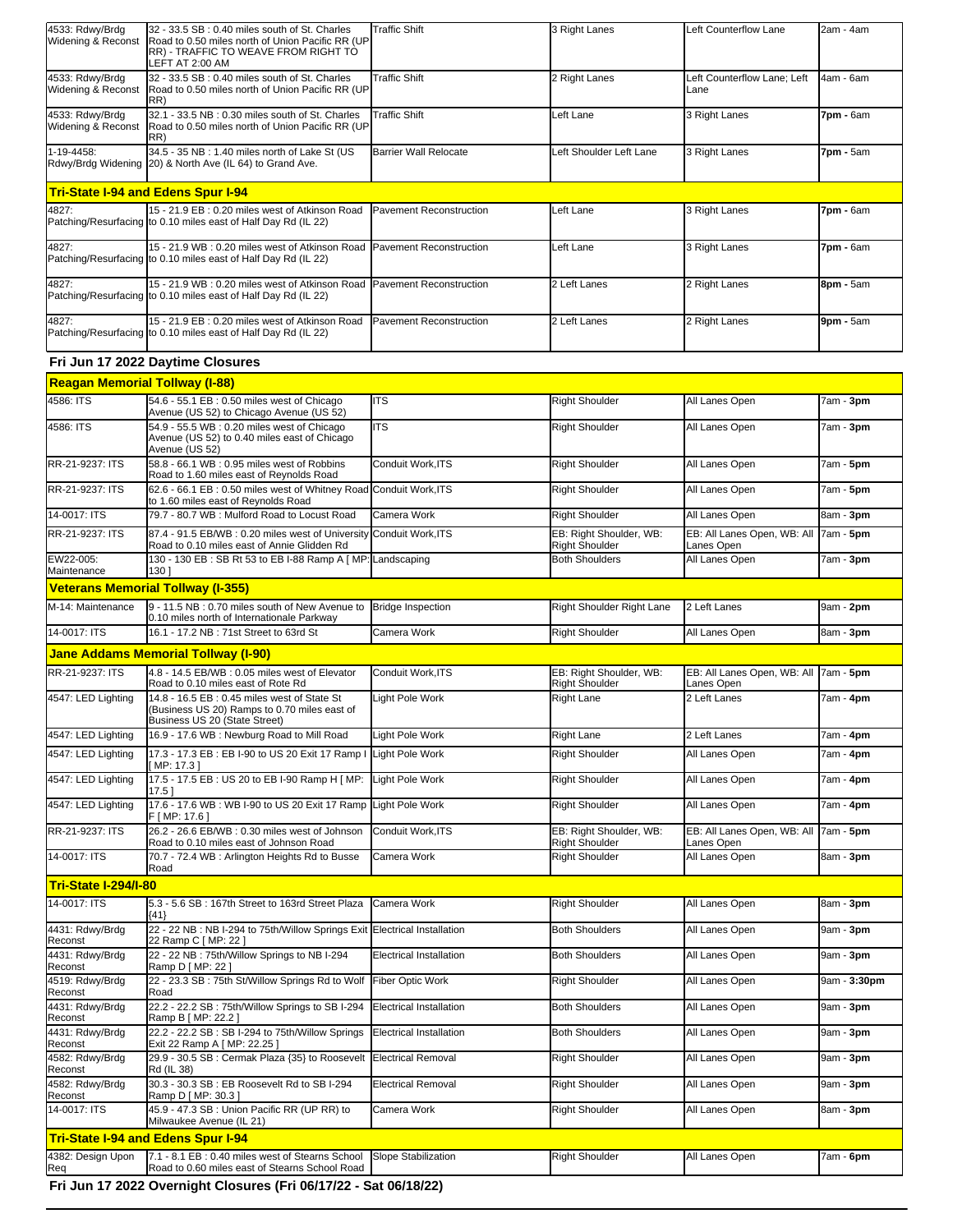| 4533: Rdwy/Brdg<br>Widening & Reconst | 32 - 33.5 SB: 0.40 miles south of St. Charles<br>Road to 0.50 miles north of Union Pacific RR (UP                            | <b>Traffic Shift</b>           | 3 Right Lanes                                    | Left Counterflow Lane                     | 2am - 4am        |
|---------------------------------------|------------------------------------------------------------------------------------------------------------------------------|--------------------------------|--------------------------------------------------|-------------------------------------------|------------------|
|                                       | RR) - TRAFFIC TO WEAVE FROM RIGHT TO<br>LEFT AT 2:00 AM                                                                      |                                |                                                  |                                           |                  |
| 4533: Rdwy/Brdg<br>Widening & Reconst | 32 - 33.5 SB : 0.40 miles south of St. Charles<br>Road to 0.50 miles north of Union Pacific RR (UP<br>RR)                    | <b>Traffic Shift</b>           | 2 Right Lanes                                    | Left Counterflow Lane; Left<br>Lane       | 4am - 6am        |
| 4533: Rdwy/Brdg<br>Widening & Reconst | 32.1 - 33.5 NB : 0.30 miles south of St. Charles<br>Road to 0.50 miles north of Union Pacific RR (UP<br>RR)                  | <b>Traffic Shift</b>           | Left Lane                                        | 3 Right Lanes                             | 7pm - 6am        |
| 1-19-4458:                            | 34.5 - 35 NB: 1.40 miles north of Lake St (US<br>Rdwy/Brdg Widening 20) & North Ave (IL 64) to Grand Ave.                    | <b>Barrier Wall Relocate</b>   | Left Shoulder Left Lane                          | 3 Right Lanes                             | <b>7pm -</b> 5am |
|                                       | <b>Tri-State I-94 and Edens Spur I-94</b>                                                                                    |                                |                                                  |                                           |                  |
| 4827:                                 | 15 - 21.9 EB: 0.20 miles west of Atkinson Road<br>Patching/Resurfacing to 0.10 miles east of Half Day Rd (IL 22)             | Pavement Reconstruction        | Left Lane                                        | 3 Right Lanes                             | 7pm - 6am        |
| 4827:                                 | 15 - 21.9 WB: 0.20 miles west of Atkinson Road<br>Patching/Resurfacing to 0.10 miles east of Half Day Rd (IL 22)             | Pavement Reconstruction        | Left Lane                                        | 3 Right Lanes                             | 7pm - 6am        |
| 4827:                                 | 15 - 21.9 WB: 0.20 miles west of Atkinson Road<br>Patching/Resurfacing to 0.10 miles east of Half Day Rd (IL 22)             | Pavement Reconstruction        | 2 Left Lanes                                     | 2 Right Lanes                             | 8pm - 5am        |
| 4827:                                 | 15 - 21.9 EB: 0.20 miles west of Atkinson Road<br>Patching/Resurfacing to 0.10 miles east of Half Day Rd (IL 22)             | Pavement Reconstruction        | 2 Left Lanes                                     | 2 Right Lanes                             | 9pm - 5am        |
|                                       | Fri Jun 17 2022 Daytime Closures                                                                                             |                                |                                                  |                                           |                  |
| <b>Reagan Memorial Tollway (I-88)</b> |                                                                                                                              |                                |                                                  |                                           |                  |
| 4586: ITS                             | 54.6 - 55.1 EB : 0.50 miles west of Chicago<br>Avenue (US 52) to Chicago Avenue (US 52)                                      | <b>ITS</b>                     | <b>Right Shoulder</b>                            | All Lanes Open                            | 7am - 3pm        |
| 4586: ITS                             | 54.9 - 55.5 WB: 0.20 miles west of Chicago<br>Avenue (US 52) to 0.40 miles east of Chicago<br>Avenue (US 52)                 | <b>ITS</b>                     | <b>Right Shoulder</b>                            | All Lanes Open                            | 7am - <b>3pm</b> |
| RR-21-9237: ITS                       | 58.8 - 66.1 WB: 0.95 miles west of Robbins<br>Road to 1.60 miles east of Reynolds Road                                       | Conduit Work, ITS              | <b>Right Shoulder</b>                            | All Lanes Open                            | 7am - 5pm        |
| RR-21-9237: ITS                       | 62.6 - 66.1 EB: 0.50 miles west of Whitney Road Conduit Work, ITS<br>to 1.60 miles east of Reynolds Road                     |                                | <b>Right Shoulder</b>                            | All Lanes Open                            | 7am - 5pm        |
| 14-0017: ITS                          | 79.7 - 80.7 WB: Mulford Road to Locust Road                                                                                  | Camera Work                    | <b>Right Shoulder</b>                            | All Lanes Open                            | 8am - 3pm        |
| RR-21-9237: ITS                       | 87.4 - 91.5 EB/WB: 0.20 miles west of University Conduit Work, ITS<br>Road to 0.10 miles east of Annie Glidden Rd            |                                | EB: Right Shoulder, WB:<br><b>Right Shoulder</b> | EB: All Lanes Open, WB: All<br>Lanes Open | 7am - 5pm        |
| EW22-005:<br>Maintenance              | 130 - 130 EB : SB Rt 53 to EB I-88 Ramp A [ MP: Landscaping<br>130 ]                                                         |                                | <b>Both Shoulders</b>                            | All Lanes Open                            | 7am - 3pm        |
|                                       | <b>Veterans Memorial Tollway (I-355)</b>                                                                                     |                                |                                                  |                                           |                  |
| M-14: Maintenance                     | 9 - 11.5 NB : 0.70 miles south of New Avenue to<br>0.10 miles north of Internationale Parkway                                | <b>Bridge Inspection</b>       | Right Shoulder Right Lane                        | 2 Left Lanes                              | 9am - 2pm        |
| 14-0017: ITS                          | 16.1 - 17.2 NB: 71st Street to 63rd St                                                                                       | Camera Work                    | <b>Right Shoulder</b>                            | All Lanes Open                            | 8am - 3pm        |
|                                       | <b>Jane Addams Memorial Tollway (I-90)</b>                                                                                   |                                |                                                  |                                           |                  |
| RR-21-9237: ITS                       | 4.8 - 14.5 EB/WB : 0.05 miles west of Elevator<br>Road to 0.10 miles east of Rote Rd                                         | Conduit Work.ITS               | EB: Right Shoulder, WB:<br><b>Right Shoulder</b> | EB: All Lanes Open, WB: All<br>Lanes Open | 7am - 5pm        |
| 4547: LED Lighting                    | 14.8 - 16.5 EB: 0.45 miles west of State St<br>(Business US 20) Ramps to 0.70 miles east of<br>Business US 20 (State Street) | Light Pole Work                | Right Lane                                       | 2 Left Lanes                              | 7am - <b>4pm</b> |
| 4547: LED Lighting                    | 16.9 - 17.6 WB: Newburg Road to Mill Road                                                                                    | Light Pole Work                | Right Lane                                       | 2 Left Lanes                              | 7am - 4pm        |
| 4547: LED Lighting                    | 17.3 - 17.3 EB : EB I-90 to US 20 Exit 17 Ramp I Light Pole Work<br>[MP: 17.3 ]                                              |                                | <b>Right Shoulder</b>                            | All Lanes Open                            | 7am - <b>4pm</b> |
| 4547: LED Lighting                    | 17.5 - 17.5 EB: US 20 to EB I-90 Ramp H [ MP:<br>17.5 ]                                                                      | Light Pole Work                | <b>Right Shoulder</b>                            | All Lanes Open                            | 7am - <b>4pm</b> |
| 4547: LED Lighting                    | 17.6 - 17.6 WB: WB I-90 to US 20 Exit 17 Ramp<br>F   MP: 17.6 ]                                                              | Light Pole Work                | <b>Right Shoulder</b>                            | All Lanes Open                            | 7am - <b>4pm</b> |
| RR-21-9237: ITS                       | 26.2 - 26.6 EB/WB: 0.30 miles west of Johnson<br>Road to 0.10 miles east of Johnson Road                                     | Conduit Work, ITS              | EB: Right Shoulder, WB:<br><b>Right Shoulder</b> | EB: All Lanes Open, WB: All<br>Lanes Open | 7am - 5pm        |
| 14-0017: ITS                          | 70.7 - 72.4 WB: Arlington Heights Rd to Busse<br>Road                                                                        | Camera Work                    | <b>Right Shoulder</b>                            | All Lanes Open                            | 8am - 3pm        |
| <b>Tri-State I-294/I-80</b>           |                                                                                                                              |                                |                                                  |                                           |                  |
| 14-0017: ITS                          | 5.3 - 5.6 SB : 167th Street to 163rd Street Plaza<br>${41}$                                                                  | Camera Work                    | <b>Right Shoulder</b>                            | All Lanes Open                            | 8am - 3pm        |
| 4431: Rdwy/Brdg<br>Reconst            | 22 - 22 NB : NB I-294 to 75th/Willow Springs Exit Electrical Installation<br>22 Ramp C [ MP: 22 ]                            |                                | <b>Both Shoulders</b>                            | All Lanes Open                            | 9am - <b>3pm</b> |
| 4431: Rdwy/Brdg<br>Reconst            | 22 - 22 NB: 75th/Willow Springs to NB I-294<br>Ramp D [ MP: 22 ]                                                             | Electrical Installation        | <b>Both Shoulders</b>                            | All Lanes Open                            | 9am - <b>3pm</b> |
| 4519: Rdwy/Brdg<br>Reconst            | 22 - 23.3 SB: 75th St/Willow Springs Rd to Wolf<br>Road                                                                      | <b>Fiber Optic Work</b>        | <b>Right Shoulder</b>                            | All Lanes Open                            | 9am - 3:30pm     |
| 4431: Rdwy/Brdg<br>Reconst            | 22.2 - 22.2 SB: 75th/Willow Springs to SB I-294<br>Ramp B [ MP: 22.2 ]                                                       | <b>Electrical Installation</b> | <b>Both Shoulders</b>                            | All Lanes Open                            | 9am - <b>3pm</b> |
| 4431: Rdwy/Brdg<br>Reconst            | 22.2 - 22.2 SB: SB I-294 to 75th/Willow Springs<br>Exit 22 Ramp A [ MP: 22.25 ]                                              | Electrical Installation        | <b>Both Shoulders</b>                            | All Lanes Open                            | 9am - 3pm        |
| 4582: Rdwy/Brdg<br>Reconst            | 29.9 - 30.5 SB : Cermak Plaza {35} to Roosevelt<br>Rd (IL 38)                                                                | <b>Electrical Removal</b>      | <b>Right Shoulder</b>                            | All Lanes Open                            | 9am - <b>3pm</b> |
| 4582: Rdwy/Brdg<br>Reconst            | 30.3 - 30.3 SB : EB Roosevelt Rd to SB I-294<br>Ramp D [ MP: 30.3 ]                                                          | Electrical Removal             | <b>Right Shoulder</b>                            | All Lanes Open                            | 9am - 3pm        |
| 14-0017: ITS                          |                                                                                                                              |                                |                                                  |                                           |                  |
|                                       | 45.9 - 47.3 SB: Union Pacific RR (UP RR) to<br>Milwaukee Avenue (IL 21)                                                      | Camera Work                    | <b>Right Shoulder</b>                            | All Lanes Open                            | 8am - <b>3pm</b> |

7.1 - 8.1 EB : 0.40 miles west of Stearns School Slope Stabilization **Reserve Stabilization Reserves Community** Right Shoulder Right Shoulder Reserves All Lanes Open Tam - **6pm**<br>Road to 0.60 miles east of Stearns School Ro

**Fri Jun 17 2022 Overnight Closures (Fri 06/17/22 - Sat 06/18/22)**

4382: Design Upon Req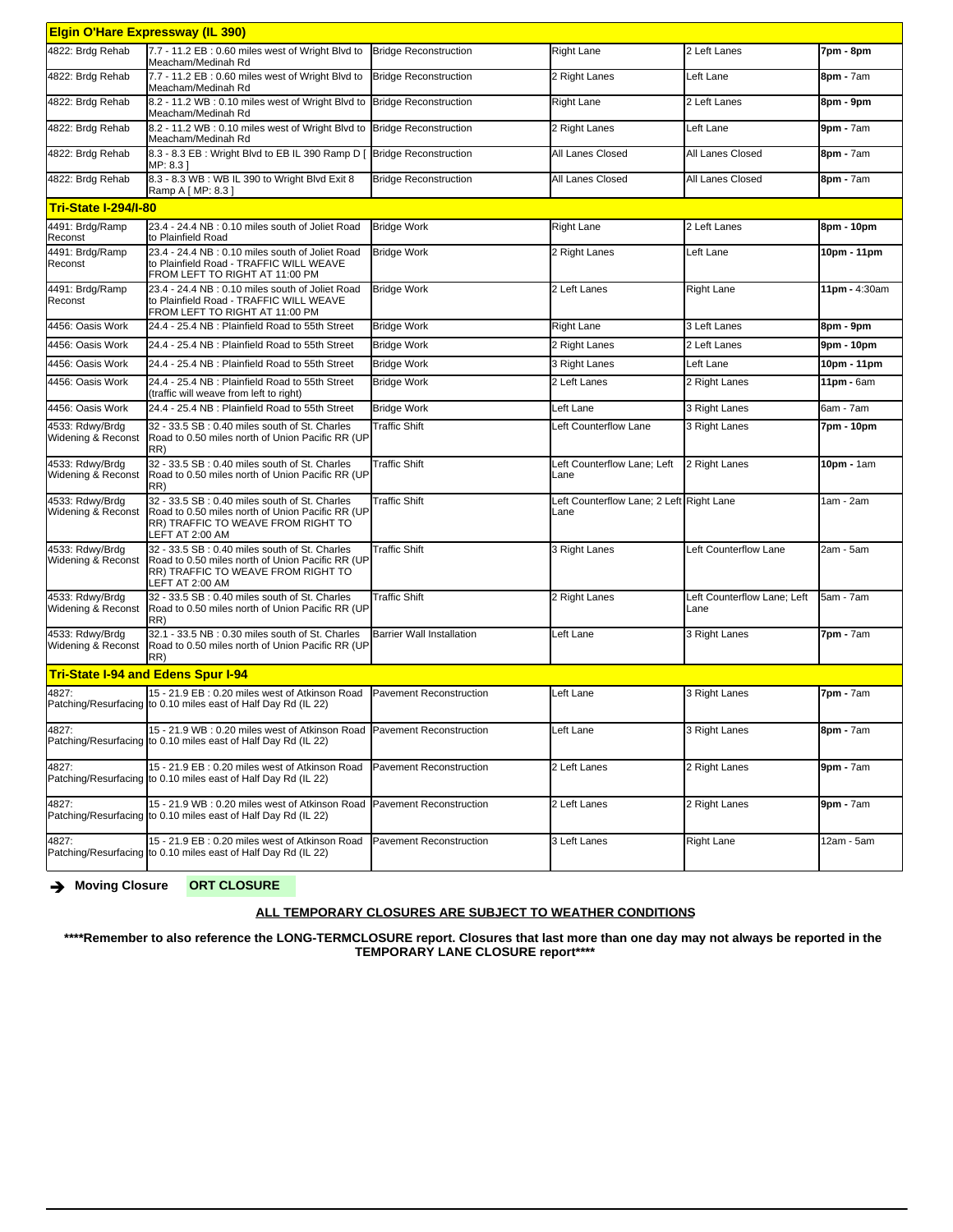| <b>Elgin O'Hare Expressway (IL 390)</b>   |                                                                                                                                                             |                                  |                                                  |                                     |                 |  |  |
|-------------------------------------------|-------------------------------------------------------------------------------------------------------------------------------------------------------------|----------------------------------|--------------------------------------------------|-------------------------------------|-----------------|--|--|
| 4822: Brdg Rehab                          | 7.7 - 11.2 EB: 0.60 miles west of Wright Blvd to<br>Meacham/Medinah Rd                                                                                      | <b>Bridge Reconstruction</b>     | <b>Right Lane</b>                                | 2 Left Lanes                        | 7pm - 8pm       |  |  |
| 4822: Brdg Rehab                          | 7.7 - 11.2 EB: 0.60 miles west of Wright Blvd to<br>Meacham/Medinah Rd                                                                                      | <b>Bridge Reconstruction</b>     | 2 Right Lanes                                    | Left Lane                           | 8pm - 7am       |  |  |
| 4822: Brdg Rehab                          | 8.2 - 11.2 WB: 0.10 miles west of Wright Blvd to<br>Meacham/Medinah Rd                                                                                      | <b>Bridge Reconstruction</b>     | <b>Right Lane</b>                                | 2 Left Lanes                        | 8pm - 9pm       |  |  |
| 4822: Brdg Rehab                          | 8.2 - 11.2 WB: 0.10 miles west of Wright Blvd to<br>Meacham/Medinah Rd                                                                                      | <b>Bridge Reconstruction</b>     | 2 Right Lanes                                    | Left Lane                           | $9pm - 7am$     |  |  |
| 4822: Brdg Rehab                          | 8.3 - 8.3 EB: Wright Blvd to EB IL 390 Ramp D [<br>MP: 8.31                                                                                                 | <b>Bridge Reconstruction</b>     | All Lanes Closed                                 | All Lanes Closed                    | 8pm - 7am       |  |  |
| 4822: Brdg Rehab                          | 8.3 - 8.3 WB: WB IL 390 to Wright Blvd Exit 8<br>Ramp A [ MP: 8.3 ]                                                                                         | <b>Bridge Reconstruction</b>     | All Lanes Closed                                 | All Lanes Closed                    | 8pm - 7am       |  |  |
| <b>Tri-State I-294/I-80</b>               |                                                                                                                                                             |                                  |                                                  |                                     |                 |  |  |
| 4491: Brdg/Ramp<br>Reconst                | 23.4 - 24.4 NB: 0.10 miles south of Joliet Road<br>to Plainfield Road                                                                                       | <b>Bridge Work</b>               | <b>Right Lane</b>                                | 2 Left Lanes                        | 8pm - 10pm      |  |  |
| 4491: Brdg/Ramp<br>Reconst                | 23.4 - 24.4 NB: 0.10 miles south of Joliet Road<br>to Plainfield Road - TRAFFIC WILL WEAVE<br>FROM LEFT TO RIGHT AT 11:00 PM                                | <b>Bridge Work</b>               | 2 Right Lanes                                    | Left Lane                           | 10pm - 11pm     |  |  |
| 4491: Brdg/Ramp<br>Reconst                | 23.4 - 24.4 NB: 0.10 miles south of Joliet Road<br>to Plainfield Road - TRAFFIC WILL WEAVE<br>FROM LEFT TO RIGHT AT 11:00 PM                                | <b>Bridge Work</b>               | 2 Left Lanes                                     | <b>Right Lane</b>                   | 11pm - 4:30am   |  |  |
| 4456: Oasis Work                          | 24.4 - 25.4 NB : Plainfield Road to 55th Street                                                                                                             | <b>Bridge Work</b>               | <b>Right Lane</b>                                | 3 Left Lanes                        | 8pm - 9pm       |  |  |
| 4456: Oasis Work                          | 24.4 - 25.4 NB: Plainfield Road to 55th Street                                                                                                              | <b>Bridge Work</b>               | 2 Right Lanes                                    | 2 Left Lanes                        | 9pm - 10pm      |  |  |
| 4456: Oasis Work                          | 24.4 - 25.4 NB : Plainfield Road to 55th Street                                                                                                             | <b>Bridge Work</b>               | 3 Right Lanes                                    | Left Lane                           | 10pm - 11pm     |  |  |
| 4456: Oasis Work                          | 24.4 - 25.4 NB: Plainfield Road to 55th Street<br>(traffic will weave from left to right)                                                                   | <b>Bridge Work</b>               | 2 Left Lanes                                     | 2 Right Lanes                       | $11pm - 6am$    |  |  |
| 4456: Oasis Work                          | 24.4 - 25.4 NB: Plainfield Road to 55th Street                                                                                                              | <b>Bridge Work</b>               | Left Lane                                        | 3 Right Lanes                       | 6am - 7am       |  |  |
| 4533: Rdwy/Brdg<br>Widening & Reconst     | 32 - 33.5 SB : 0.40 miles south of St. Charles<br>Road to 0.50 miles north of Union Pacific RR (UP<br>RR)                                                   | <b>Traffic Shift</b>             | Left Counterflow Lane                            | 3 Right Lanes                       | 7pm - 10pm      |  |  |
| 4533: Rdwy/Brdg<br>Widening & Reconst     | 32 - 33.5 SB : 0.40 miles south of St. Charles<br>Road to 0.50 miles north of Union Pacific RR (UP<br>RR)                                                   | <b>Traffic Shift</b>             | Left Counterflow Lane; Left<br>Lane              | 2 Right Lanes                       | 10pm - 1am      |  |  |
| 4533: Rdwy/Brdg<br>Widening & Reconst     | 32 - 33.5 SB : 0.40 miles south of St. Charles<br>Road to 0.50 miles north of Union Pacific RR (UP<br>RR) TRAFFIC TO WEAVE FROM RIGHT TO<br>LEFT AT 2:00 AM | <b>Traffic Shift</b>             | Left Counterflow Lane; 2 Left Right Lane<br>Lane |                                     | 1am - 2am       |  |  |
| 4533: Rdwy/Brdg<br>Widening & Reconst     | 32 - 33.5 SB: 0.40 miles south of St. Charles<br>Road to 0.50 miles north of Union Pacific RR (UP<br>RR) TRAFFIC TO WEAVE FROM RIGHT TO<br>LEFT AT 2:00 AM  | <b>Traffic Shift</b>             | 3 Right Lanes                                    | Left Counterflow Lane               | 2am - 5am       |  |  |
| 4533: Rdwy/Brdg<br>Widening & Reconst     | 32 - 33.5 SB: 0.40 miles south of St. Charles<br>Road to 0.50 miles north of Union Pacific RR (UP<br>RR)                                                    | <b>Traffic Shift</b>             | 2 Right Lanes                                    | Left Counterflow Lane; Left<br>Lane | 5am - 7am       |  |  |
| 4533: Rdwy/Brdg<br>Widening & Reconst     | 32.1 - 33.5 NB : 0.30 miles south of St. Charles<br>Road to 0.50 miles north of Union Pacific RR (UP<br>RR)                                                 | <b>Barrier Wall Installation</b> | Left Lane                                        | 3 Right Lanes                       | $7pm - 7am$     |  |  |
| <b>Tri-State I-94 and Edens Spur I-94</b> |                                                                                                                                                             |                                  |                                                  |                                     |                 |  |  |
| 4827:                                     | 15 - 21.9 EB: 0.20 miles west of Atkinson Road<br>Patching/Resurfacing to 0.10 miles east of Half Day Rd (IL 22)                                            | Pavement Reconstruction          | eft Lane                                         | 3 Right Lanes                       | 7pm - 7am       |  |  |
| 4827:                                     | 15 - 21.9 WB: 0.20 miles west of Atkinson Road Pavement Reconstruction<br>Patching/Resurfacing to 0.10 miles east of Half Day Rd (IL 22)                    |                                  | Left Lane                                        | 3 Right Lanes                       | 8pm - 7am       |  |  |
| 4827:                                     | 15 - 21.9 EB : 0.20 miles west of Atkinson Road<br>Patching/Resurfacing to 0.10 miles east of Half Day Rd (IL 22)                                           | Pavement Reconstruction          | 2 Left Lanes                                     | 2 Right Lanes                       | $9$ pm - $7$ am |  |  |
| 4827:                                     | 15 - 21.9 WB: 0.20 miles west of Atkinson Road Pavement Reconstruction<br>Patching/Resurfacing to 0.10 miles east of Half Day Rd (IL 22)                    |                                  | 2 Left Lanes                                     | 2 Right Lanes                       | $9$ pm - $7$ am |  |  |
| 4827:                                     | 15 - 21.9 EB: 0.20 miles west of Atkinson Road<br>Patching/Resurfacing to 0.10 miles east of Half Day Rd (IL 22)                                            | Pavement Reconstruction          | 3 Left Lanes                                     | <b>Right Lane</b>                   | 12am - 5am      |  |  |

è **Moving Closure ORT CLOSURE**

## **ALL TEMPORARY CLOSURES ARE SUBJECT TO WEATHER CONDITIONS**

**\*\*\*\*Remember to also reference the LONG-TERMCLOSURE report. Closures that last more than one day may not always be reported in the TEMPORARY LANE CLOSURE report\*\*\*\***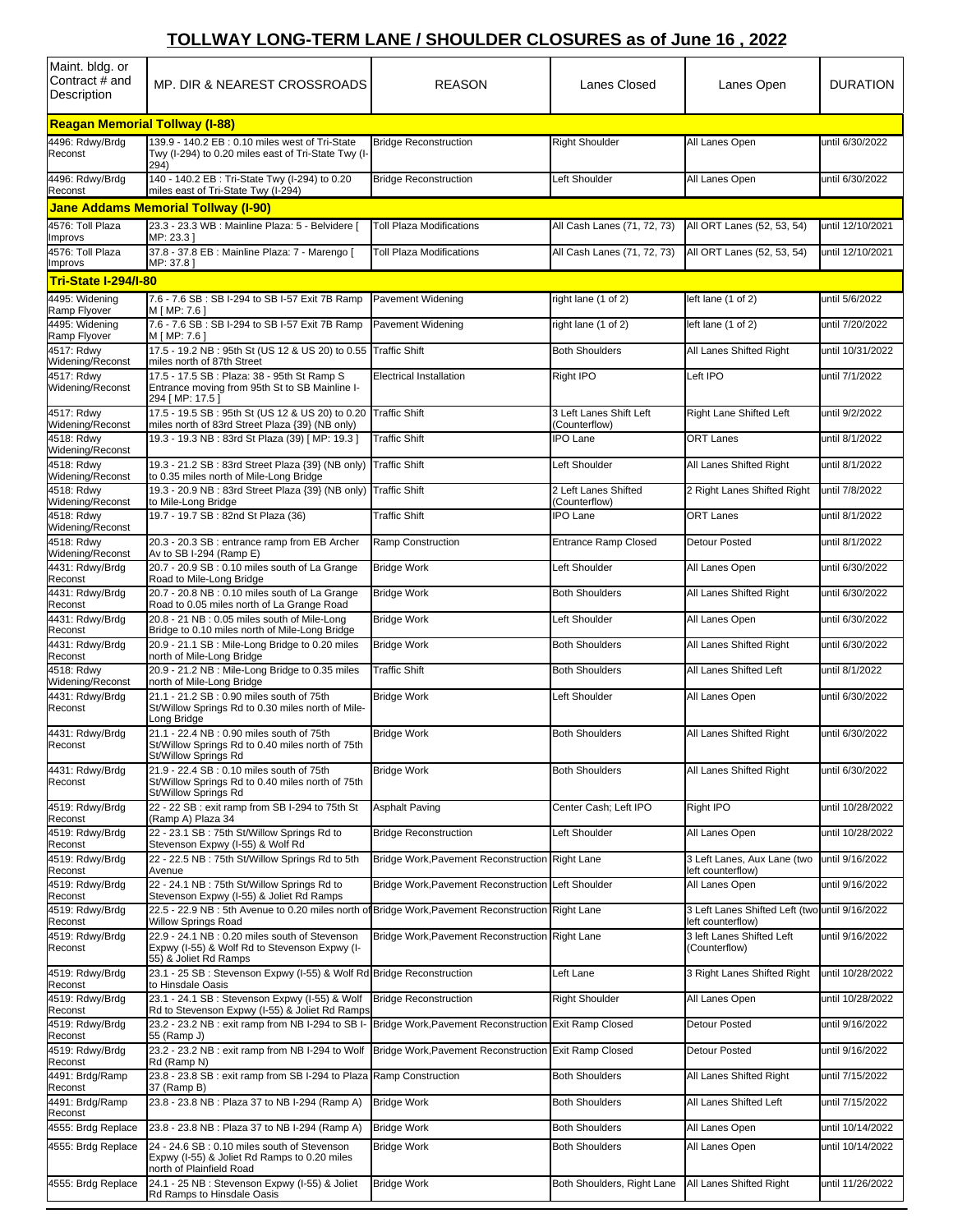## **TOLLWAY LONG-TERM LANE / SHOULDER CLOSURES as of June 16 , 2022**

| Maint. bldg. or<br>Contract # and<br>Description | MP. DIR & NEAREST CROSSROADS                                                                                                                   | <b>REASON</b>                                         | Lanes Closed                             | Lanes Open                                                      | <b>DURATION</b>  |
|--------------------------------------------------|------------------------------------------------------------------------------------------------------------------------------------------------|-------------------------------------------------------|------------------------------------------|-----------------------------------------------------------------|------------------|
| <b>Reagan Memorial Tollway (I-88)</b>            |                                                                                                                                                |                                                       |                                          |                                                                 |                  |
| 4496: Rdwy/Brdg<br>Reconst                       | 139.9 - 140.2 EB : 0.10 miles west of Tri-State<br>Twy (I-294) to 0.20 miles east of Tri-State Twy (I-<br>294)                                 | <b>Bridge Reconstruction</b>                          | <b>Right Shoulder</b>                    | All Lanes Open                                                  | until 6/30/2022  |
| 4496: Rdwy/Brdg<br>Reconst                       | 140 - 140.2 EB : Tri-State Twy (I-294) to 0.20<br>miles east of Tri-State Twy (I-294)                                                          | <b>Bridge Reconstruction</b>                          | Left Shoulder                            | All Lanes Open                                                  | until 6/30/2022  |
|                                                  | <b>Jane Addams Memorial Tollway (I-90)</b>                                                                                                     |                                                       |                                          |                                                                 |                  |
| 4576: Toll Plaza<br>Improvs                      | 23.3 - 23.3 WB : Mainline Plaza: 5 - Belvidere [<br>MP: 23.31                                                                                  | <b>Toll Plaza Modifications</b>                       | All Cash Lanes (71, 72, 73)              | All ORT Lanes (52, 53, 54)                                      | until 12/10/2021 |
| 4576: Toll Plaza                                 | 37.8 - 37.8 EB : Mainline Plaza: 7 - Marengo [                                                                                                 | <b>Toll Plaza Modifications</b>                       | All Cash Lanes (71, 72, 73)              | All ORT Lanes (52, 53, 54)                                      | until 12/10/2021 |
| Improvs<br><b>Tri-State I-294/I-80</b>           | MP: 37.81                                                                                                                                      |                                                       |                                          |                                                                 |                  |
| 4495: Widening                                   | 7.6 - 7.6 SB: SB I-294 to SB I-57 Exit 7B Ramp                                                                                                 | <b>Pavement Widening</b>                              | right lane (1 of 2)                      | left lane (1 of 2)                                              | until 5/6/2022   |
| Ramp Flyover<br>4495: Widening                   | M [ MP: 7.6 ]<br>7.6 - 7.6 SB : SB I-294 to SB I-57 Exit 7B Ramp                                                                               | Pavement Widening                                     | right lane (1 of 2)                      | left lane (1 of 2)                                              | until 7/20/2022  |
| Ramp Flyover<br>4517: Rdwy                       | M [ MP: 7.6 ]<br>17.5 - 19.2 NB: 95th St (US 12 & US 20) to 0.55                                                                               | <b>Traffic Shift</b>                                  | <b>Both Shoulders</b>                    | All Lanes Shifted Right                                         | until 10/31/2022 |
| Widening/Reconst<br>4517: Rdwy                   | miles north of 87th Street<br>17.5 - 17.5 SB : Plaza: 38 - 95th St Ramp S                                                                      | <b>Electrical Installation</b>                        | Right IPO                                | Left IPO                                                        | until 7/1/2022   |
| Widening/Reconst                                 | Entrance moving from 95th St to SB Mainline I-<br>294 [MP: 17.5]                                                                               |                                                       |                                          |                                                                 |                  |
| 4517: Rdwy<br>Widening/Reconst                   | 17.5 - 19.5 SB: 95th St (US 12 & US 20) to 0.20<br>miles north of 83rd Street Plaza {39} (NB only)                                             | <b>Traffic Shift</b>                                  | 3 Left Lanes Shift Left<br>(Counterflow) | Right Lane Shifted Left                                         | until 9/2/2022   |
| 4518: Rdwy<br>Widening/Reconst                   | 19.3 - 19.3 NB: 83rd St Plaza (39) [ MP: 19.3 ]                                                                                                | <b>Traffic Shift</b>                                  | <b>IPO Lane</b>                          | <b>ORT Lanes</b>                                                | until 8/1/2022   |
| 4518: Rdwy<br>Widening/Reconst                   | 19.3 - 21.2 SB: 83rd Street Plaza {39} (NB only)<br>to 0.35 miles north of Mile-Long Bridge                                                    | <b>Traffic Shift</b>                                  | Left Shoulder                            | All Lanes Shifted Right                                         | until 8/1/2022   |
| 4518: Rdwy<br>Widening/Reconst                   | 19.3 - 20.9 NB: 83rd Street Plaza {39} (NB only)<br>to Mile-Long Bridge                                                                        | <b>Traffic Shift</b>                                  | 2 Left Lanes Shifted<br>(Counterflow)    | 2 Right Lanes Shifted Right                                     | until 7/8/2022   |
| 4518: Rdwy                                       | 19.7 - 19.7 SB: 82nd St Plaza (36)                                                                                                             | Traffic Shift                                         | <b>IPO Lane</b>                          | <b>ORT Lanes</b>                                                | until 8/1/2022   |
| Widening/Reconst<br>4518: Rdwy                   | 20.3 - 20.3 SB : entrance ramp from EB Archer                                                                                                  | Ramp Construction                                     | <b>Entrance Ramp Closed</b>              | Detour Posted                                                   | until 8/1/2022   |
| Widening/Reconst<br>4431: Rdwy/Brdg              | Av to SB I-294 (Ramp E)<br>20.7 - 20.9 SB: 0.10 miles south of La Grange                                                                       | <b>Bridge Work</b>                                    | Left Shoulder                            | All Lanes Open                                                  | until 6/30/2022  |
| Reconst<br>4431: Rdwy/Brdg                       | Road to Mile-Long Bridge<br>20.7 - 20.8 NB: 0.10 miles south of La Grange                                                                      | <b>Bridge Work</b>                                    | <b>Both Shoulders</b>                    | All Lanes Shifted Right                                         | until 6/30/2022  |
| Reconst<br>4431: Rdwy/Brdg                       | Road to 0.05 miles north of La Grange Road<br>20.8 - 21 NB: 0.05 miles south of Mile-Long                                                      | <b>Bridge Work</b>                                    | Left Shoulder                            | All Lanes Open                                                  | until 6/30/2022  |
| Reconst                                          | Bridge to 0.10 miles north of Mile-Long Bridge                                                                                                 |                                                       |                                          |                                                                 |                  |
| 4431: Rdwy/Brdg<br>Reconst                       | 20.9 - 21.1 SB: Mile-Long Bridge to 0.20 miles<br>north of Mile-Long Bridge                                                                    | <b>Bridge Work</b>                                    | <b>Both Shoulders</b>                    | All Lanes Shifted Right                                         | until 6/30/2022  |
| 4518: Rdwy<br>Widening/Reconst                   | 20.9 - 21.2 NB : Mile-Long Bridge to 0.35 miles<br>north of Mile-Long Bridge                                                                   | <b>Traffic Shift</b>                                  | <b>Both Shoulders</b>                    | All Lanes Shifted Left                                          | until 8/1/2022   |
| 4431: Rdwy/Brdg<br>Reconst                       | 21.1 - 21.2 SB: 0.90 miles south of 75th<br>St/Willow Springs Rd to 0.30 miles north of Mile-<br>Long Bridge                                   | <b>Bridge Work</b>                                    | Left Shoulder                            | All Lanes Open                                                  | until 6/30/2022  |
| 4431: Rdwy/Brdg<br>Reconst                       | 21.1 - 22.4 NB: 0.90 miles south of 75th<br>St/Willow Springs Rd to 0.40 miles north of 75th<br>St/Willow Springs Rd                           | <b>Bridge Work</b>                                    | <b>Both Shoulders</b>                    | All Lanes Shifted Right                                         | until 6/30/2022  |
| 4431: Rdwy/Brdg<br>Reconst                       | 21.9 - 22.4 SB: 0.10 miles south of 75th<br>St/Willow Springs Rd to 0.40 miles north of 75th<br>St/Willow Springs Rd                           | <b>Bridge Work</b>                                    | <b>Both Shoulders</b>                    | All Lanes Shifted Right                                         | until 6/30/2022  |
| 4519: Rdwy/Brdg<br>Reconst                       | 22 - 22 SB : exit ramp from SB I-294 to 75th St<br>(Ramp A) Plaza 34                                                                           | <b>Asphalt Paving</b>                                 | Center Cash; Left IPO                    | Right IPO                                                       | until 10/28/2022 |
| 4519: Rdwy/Brdg<br>Reconst                       | 22 - 23.1 SB: 75th St/Willow Springs Rd to<br>Stevenson Expwy (I-55) & Wolf Rd                                                                 | <b>Bridge Reconstruction</b>                          | Left Shoulder                            | All Lanes Open                                                  | until 10/28/2022 |
| 4519: Rdwy/Brdg<br>Reconst                       | 22 - 22.5 NB: 75th St/Willow Springs Rd to 5th<br>Avenue                                                                                       | Bridge Work, Pavement Reconstruction Right Lane       |                                          | 3 Left Lanes, Aux Lane (two<br>left counterflow)                | until 9/16/2022  |
| 4519: Rdwy/Brdg                                  | 22 - 24.1 NB: 75th St/Willow Springs Rd to                                                                                                     | Bridge Work, Pavement Reconstruction Left Shoulder    |                                          | All Lanes Open                                                  | until 9/16/2022  |
| Reconst<br>4519: Rdwy/Brdg                       | Stevenson Expwy (I-55) & Joliet Rd Ramps<br>22.5 - 22.9 NB : 5th Avenue to 0.20 miles north of Bridge Work, Pavement Reconstruction Right Lane |                                                       |                                          | 3 Left Lanes Shifted Left (two until 9/16/2022                  |                  |
| Reconst<br>4519: Rdwy/Brdg<br>Reconst            | <b>Willow Springs Road</b><br>22.9 - 24.1 NB: 0.20 miles south of Stevenson<br>Expwy (I-55) & Wolf Rd to Stevenson Expwy (I-                   | Bridge Work, Pavement Reconstruction Right Lane       |                                          | left counterflow)<br>3 left Lanes Shifted Left<br>(Counterflow) | until 9/16/2022  |
| 4519: Rdwy/Brdg                                  | 55) & Joliet Rd Ramps<br>23.1 - 25 SB: Stevenson Expwy (I-55) & Wolf Rd Bridge Reconstruction                                                  |                                                       | Left Lane                                | 3 Right Lanes Shifted Right                                     | until 10/28/2022 |
| Reconst<br>4519: Rdwy/Brdg                       | to Hinsdale Oasis<br>23.1 - 24.1 SB: Stevenson Expwy (I-55) & Wolf                                                                             | <b>Bridge Reconstruction</b>                          | <b>Right Shoulder</b>                    | All Lanes Open                                                  | until 10/28/2022 |
| Reconst<br>4519: Rdwy/Brdg                       | Rd to Stevenson Expwy (I-55) & Joliet Rd Ramps<br>23.2 - 23.2 NB : exit ramp from NB I-294 to SB I-                                            | Bridge Work, Pavement Reconstruction Exit Ramp Closed |                                          | Detour Posted                                                   | until 9/16/2022  |
| Reconst<br>4519: Rdwy/Brdg                       | 55 (Ramp J)<br>23.2 - 23.2 NB : exit ramp from NB I-294 to Wolf                                                                                | Bridge Work, Pavement Reconstruction Exit Ramp Closed |                                          | Detour Posted                                                   | until 9/16/2022  |
| Reconst                                          | Rd (Ramp N)                                                                                                                                    |                                                       |                                          |                                                                 |                  |
| 4491: Brdg/Ramp<br>Reconst                       | 23.8 - 23.8 SB: exit ramp from SB I-294 to Plaza Ramp Construction<br>37 (Ramp B)                                                              |                                                       | <b>Both Shoulders</b>                    | All Lanes Shifted Right                                         | until 7/15/2022  |
| 4491: Brdg/Ramp<br>Reconst                       | 23.8 - 23.8 NB: Plaza 37 to NB I-294 (Ramp A)                                                                                                  | <b>Bridge Work</b>                                    | <b>Both Shoulders</b>                    | All Lanes Shifted Left                                          | until 7/15/2022  |
| 4555: Brdg Replace                               | 23.8 - 23.8 NB: Plaza 37 to NB I-294 (Ramp A)                                                                                                  | <b>Bridge Work</b>                                    | <b>Both Shoulders</b>                    | All Lanes Open                                                  | until 10/14/2022 |
| 4555: Brdg Replace                               | 24 - 24.6 SB : 0.10 miles south of Stevenson<br>Expwy (I-55) & Joliet Rd Ramps to 0.20 miles<br>north of Plainfield Road                       | <b>Bridge Work</b>                                    | <b>Both Shoulders</b>                    | All Lanes Open                                                  | until 10/14/2022 |
| 4555: Brdg Replace                               | 24.1 - 25 NB : Stevenson Expwy (I-55) & Joliet<br>Rd Ramps to Hinsdale Oasis                                                                   | <b>Bridge Work</b>                                    | Both Shoulders, Right Lane               | All Lanes Shifted Right                                         | until 11/26/2022 |